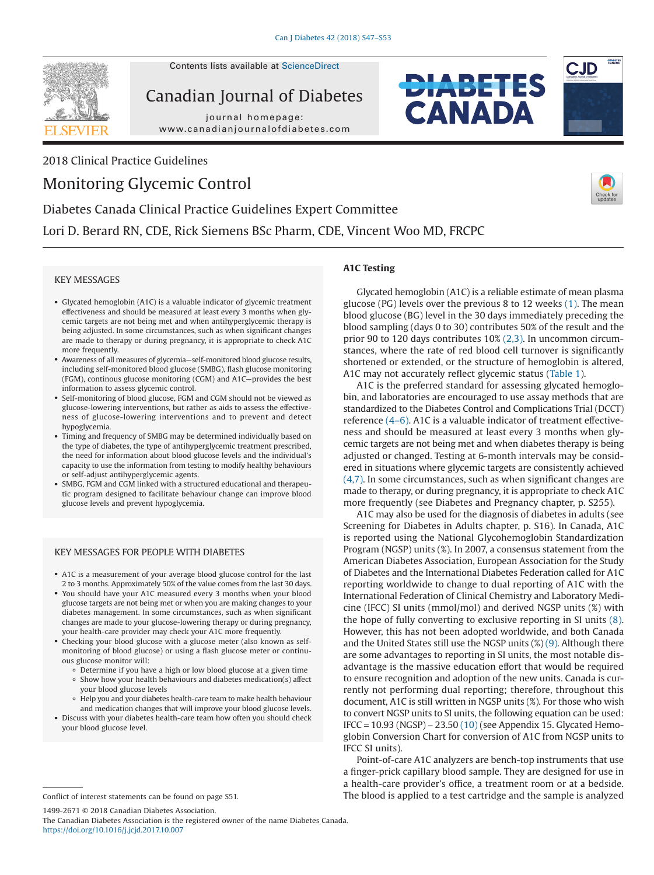

Contents lists available at ScienceDirect

Canadian Journal of Diabetes

journal homepage: www.canadianjournalofdiabetes.com

2018 Clinical Practice Guidelines

# Monitoring Glycemic Control







# Diabetes Canada Clinical Practice Guidelines Expert Committee Lori D. Berard RN, CDE, Rick Siemens BSc Pharm, CDE, Vincent Woo MD, FRCPC

# KEY MESSAGES

- Glycated hemoglobin (A1C) is a valuable indicator of glycemic treatment effectiveness and should be measured at least every 3 months when glycemic targets are not being met and when antihyperglycemic therapy is being adjusted. In some circumstances, such as when significant changes are made to therapy or during pregnancy, it is appropriate to check A1C more frequently.
- Awareness of all measures of glycemia—self-monitored blood glucose results, including self-monitored blood glucose (SMBG), flash glucose monitoring (FGM), continous glucose monitoring (CGM) and A1C—provides the best information to assess glycemic control.
- Self-monitoring of blood glucose, FGM and CGM should not be viewed as glucose-lowering interventions, but rather as aids to assess the effectiveness of glucose-lowering interventions and to prevent and detect hypoglycemia.
- Timing and frequency of SMBG may be determined individually based on the type of diabetes, the type of antihyperglycemic treatment prescribed, the need for information about blood glucose levels and the individual's capacity to use the information from testing to modify healthy behaviours or self-adjust antihyperglycemic agents.
- SMBG, FGM and CGM linked with a structured educational and therapeutic program designed to facilitate behaviour change can improve blood glucose levels and prevent hypoglycemia.

# KEY MESSAGES FOR PEOPLE WITH DIABETES

- A1C is a measurement of your average blood glucose control for the last 2 to 3 months. Approximately 50% of the value comes from the last 30 days.
- You should have your A1C measured every 3 months when your blood glucose targets are not being met or when you are making changes to your diabetes management. In some circumstances, such as when significant changes are made to your glucose-lowering therapy or during pregnancy, your health-care provider may check your A1C more frequently.
- Checking your blood glucose with a glucose meter (also known as selfmonitoring of blood glucose) or using a flash glucose meter or continuous glucose monitor will:
	- Determine if you have a high or low blood glucose at a given time
	- Show how your health behaviours and diabetes medication(s) affect your blood glucose levels
	- Help you and your diabetes health-care team to make health behaviour and medication changes that will improve your blood glucose levels.
- Discuss with your diabetes health-care team how often you should check your blood glucose level.

1499-2671 © 2018 Canadian Diabetes Association.

The Canadian Diabetes Association is the registered owner of the name Diabetes Canada. https://doi.org/10.1016/j.jcjd.2017.10.007

# **A1C Testing**

Glycated hemoglobin (A1C) is a reliable estimate of mean plasma glucose (PG) levels over the previous 8 to 12 weeks (1). The mean blood glucose (BG) level in the 30 days immediately preceding the blood sampling (days 0 to 30) contributes 50% of the result and the prior 90 to 120 days contributes 10% (2,3). In uncommon circumstances, where the rate of red blood cell turnover is significantly shortened or extended, or the structure of hemoglobin is altered, A1C may not accurately reflect glycemic status (Table 1).

A1C is the preferred standard for assessing glycated hemoglobin, and laboratories are encouraged to use assay methods that are standardized to the Diabetes Control and Complications Trial (DCCT) reference (4–6). A1C is a valuable indicator of treatment effectiveness and should be measured at least every 3 months when glycemic targets are not being met and when diabetes therapy is being adjusted or changed. Testing at 6-month intervals may be considered in situations where glycemic targets are consistently achieved (4,7). In some circumstances, such as when significant changes are made to therapy, or during pregnancy, it is appropriate to check A1C more frequently (see Diabetes and Pregnancy chapter, p. S255).

A1C may also be used for the diagnosis of diabetes in adults (see Screening for Diabetes in Adults chapter, p. S16). In Canada, A1C is reported using the National Glycohemoglobin Standardization Program (NGSP) units (%). In 2007, a consensus statement from the American Diabetes Association, European Association for the Study of Diabetes and the International Diabetes Federation called for A1C reporting worldwide to change to dual reporting of A1C with the International Federation of Clinical Chemistry and Laboratory Medicine (IFCC) SI units (mmol/mol) and derived NGSP units (%) with the hope of fully converting to exclusive reporting in SI units (8). However, this has not been adopted worldwide, and both Canada and the United States still use the NGSP units  $(\%)$  (9). Although there are some advantages to reporting in SI units, the most notable disadvantage is the massive education effort that would be required to ensure recognition and adoption of the new units. Canada is currently not performing dual reporting; therefore, throughout this document, A1C is still written in NGSP units (%). For those who wish to convert NGSP units to SI units, the following equation can be used: IFCC = 10.93 (NGSP) − 23.50 (10) (see Appendix 15. Glycated Hemoglobin Conversion Chart for conversion of A1C from NGSP units to IFCC SI units).

Point-of-care A1C analyzers are bench-top instruments that use a finger-prick capillary blood sample. They are designed for use in a health-care provider's office, a treatment room or at a bedside. Conflict of interest statements can be found on page S51. The blood is applied to a test cartridge and the sample is analyzed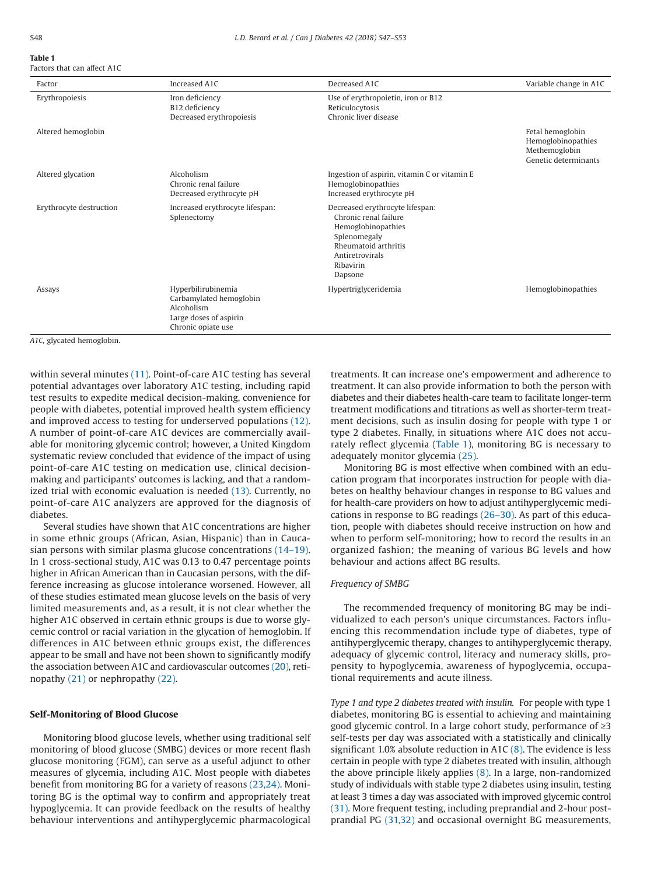#### **Table 1** Factors that can affect A1C

| Factor                  | Increased A1C                                                                                               | Decreased A1C                                                                                                                                                     | Variable change in A1C                                                          |
|-------------------------|-------------------------------------------------------------------------------------------------------------|-------------------------------------------------------------------------------------------------------------------------------------------------------------------|---------------------------------------------------------------------------------|
| Erythropoiesis          | Iron deficiency<br>B12 deficiency<br>Decreased erythropoiesis                                               | Use of erythropoietin, iron or B12<br>Reticulocytosis<br>Chronic liver disease                                                                                    |                                                                                 |
| Altered hemoglobin      |                                                                                                             |                                                                                                                                                                   | Fetal hemoglobin<br>Hemoglobinopathies<br>Methemoglobin<br>Genetic determinants |
| Altered glycation       | Alcoholism<br>Chronic renal failure<br>Decreased erythrocyte pH                                             | Ingestion of aspirin, vitamin C or vitamin E<br>Hemoglobinopathies<br>Increased erythrocyte pH                                                                    |                                                                                 |
| Erythrocyte destruction | Increased erythrocyte lifespan:<br>Splenectomy                                                              | Decreased erythrocyte lifespan:<br>Chronic renal failure<br>Hemoglobinopathies<br>Splenomegaly<br>Rheumatoid arthritis<br>Antiretrovirals<br>Ribavirin<br>Dapsone |                                                                                 |
| Assays                  | Hyperbilirubinemia<br>Carbamylated hemoglobin<br>Alcoholism<br>Large doses of aspirin<br>Chronic opiate use | Hypertriglyceridemia                                                                                                                                              | Hemoglobinopathies                                                              |

*A1C,* glycated hemoglobin.

within several minutes (11). Point-of-care A1C testing has several potential advantages over laboratory A1C testing, including rapid test results to expedite medical decision-making, convenience for people with diabetes, potential improved health system efficiency and improved access to testing for underserved populations (12). A number of point-of-care A1C devices are commercially available for monitoring glycemic control; however, a United Kingdom systematic review concluded that evidence of the impact of using point-of-care A1C testing on medication use, clinical decisionmaking and participants' outcomes is lacking, and that a randomized trial with economic evaluation is needed (13). Currently, no point-of-care A1C analyzers are approved for the diagnosis of diabetes.

Several studies have shown that A1C concentrations are higher in some ethnic groups (African, Asian, Hispanic) than in Caucasian persons with similar plasma glucose concentrations (14–19). In 1 cross-sectional study, A1C was 0.13 to 0.47 percentage points higher in African American than in Caucasian persons, with the difference increasing as glucose intolerance worsened. However, all of these studies estimated mean glucose levels on the basis of very limited measurements and, as a result, it is not clear whether the higher A1C observed in certain ethnic groups is due to worse glycemic control or racial variation in the glycation of hemoglobin. If differences in A1C between ethnic groups exist, the differences appear to be small and have not been shown to significantly modify the association between A1C and cardiovascular outcomes (20), retinopathy (21) or nephropathy (22).

## **Self-Monitoring of Blood Glucose**

Monitoring blood glucose levels, whether using traditional self monitoring of blood glucose (SMBG) devices or more recent flash glucose monitoring (FGM), can serve as a useful adjunct to other measures of glycemia, including A1C. Most people with diabetes benefit from monitoring BG for a variety of reasons (23,24). Monitoring BG is the optimal way to confirm and appropriately treat hypoglycemia. It can provide feedback on the results of healthy behaviour interventions and antihyperglycemic pharmacological treatments. It can increase one's empowerment and adherence to treatment. It can also provide information to both the person with diabetes and their diabetes health-care team to facilitate longer-term treatment modifications and titrations as well as shorter-term treatment decisions, such as insulin dosing for people with type 1 or type 2 diabetes. Finally, in situations where A1C does not accurately reflect glycemia (Table 1), monitoring BG is necessary to adequately monitor glycemia (25).

Monitoring BG is most effective when combined with an education program that incorporates instruction for people with diabetes on healthy behaviour changes in response to BG values and for health-care providers on how to adjust antihyperglycemic medications in response to BG readings (26–30). As part of this education, people with diabetes should receive instruction on how and when to perform self-monitoring; how to record the results in an organized fashion; the meaning of various BG levels and how behaviour and actions affect BG results.

## *Frequency of SMBG*

The recommended frequency of monitoring BG may be individualized to each person's unique circumstances. Factors influencing this recommendation include type of diabetes, type of antihyperglycemic therapy, changes to antihyperglycemic therapy, adequacy of glycemic control, literacy and numeracy skills, propensity to hypoglycemia, awareness of hypoglycemia, occupational requirements and acute illness.

*Type 1 and type 2 diabetes treated with insulin.* For people with type 1 diabetes, monitoring BG is essential to achieving and maintaining good glycemic control. In a large cohort study, performance of ≥3 self-tests per day was associated with a statistically and clinically significant 1.0% absolute reduction in A1C  $(8)$ . The evidence is less certain in people with type 2 diabetes treated with insulin, although the above principle likely applies (8). In a large, non-randomized study of individuals with stable type 2 diabetes using insulin, testing at least 3 times a day was associated with improved glycemic control (31). More frequent testing, including preprandial and 2-hour postprandial PG (31,32) and occasional overnight BG measurements,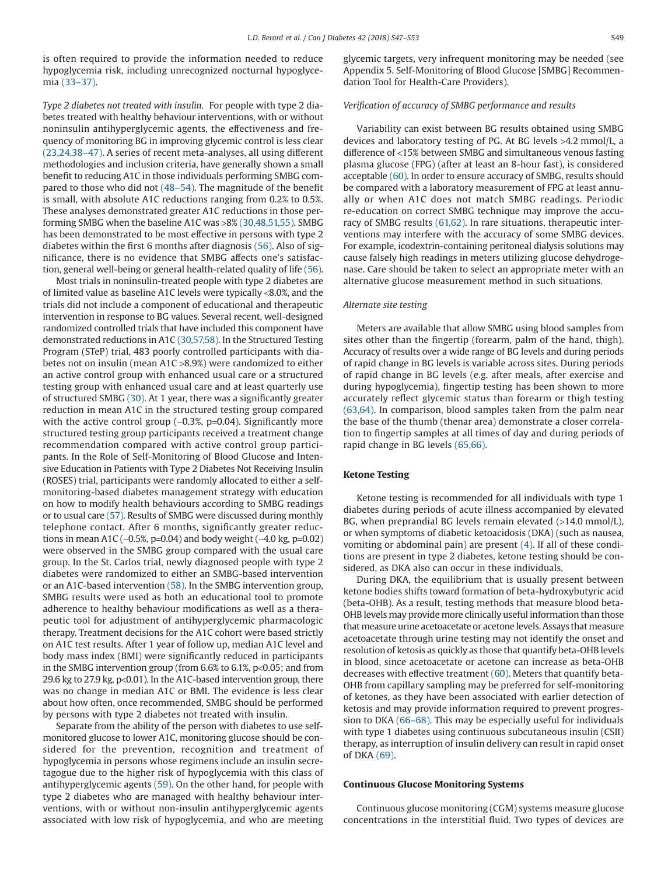is often required to provide the information needed to reduce hypoglycemia risk, including unrecognized nocturnal hypoglycemia (33–37).

*Type 2 diabetes not treated with insulin.* For people with type 2 diabetes treated with healthy behaviour interventions, with or without noninsulin antihyperglycemic agents, the effectiveness and frequency of monitoring BG in improving glycemic control is less clear (23,24,38–47). A series of recent meta-analyses, all using different methodologies and inclusion criteria, have generally shown a small benefit to reducing A1C in those individuals performing SMBG compared to those who did not (48–54). The magnitude of the benefit is small, with absolute A1C reductions ranging from 0.2% to 0.5%. These analyses demonstrated greater A1C reductions in those performing SMBG when the baseline A1C was >8% (30,48,51,55). SMBG has been demonstrated to be most effective in persons with type 2 diabetes within the first 6 months after diagnosis (56). Also of significance, there is no evidence that SMBG affects one's satisfaction, general well-being or general health-related quality of life (56).

Most trials in noninsulin-treated people with type 2 diabetes are of limited value as baseline A1C levels were typically <8.0%, and the trials did not include a component of educational and therapeutic intervention in response to BG values. Several recent, well-designed randomized controlled trials that have included this component have demonstrated reductions in A1C (30,57,58). In the Structured Testing Program (STeP) trial, 483 poorly controlled participants with diabetes not on insulin (mean A1C >8.9%) were randomized to either an active control group with enhanced usual care or a structured testing group with enhanced usual care and at least quarterly use of structured SMBG (30). At 1 year, there was a significantly greater reduction in mean A1C in the structured testing group compared with the active control group (−0.3%, p=0.04). Significantly more structured testing group participants received a treatment change recommendation compared with active control group participants. In the Role of Self-Monitoring of Blood Glucose and Intensive Education in Patients with Type 2 Diabetes Not Receiving Insulin (ROSES) trial, participants were randomly allocated to either a selfmonitoring-based diabetes management strategy with education on how to modify health behaviours according to SMBG readings or to usual care (57). Results of SMBG were discussed during monthly telephone contact. After 6 months, significantly greater reductions in mean A1C (−0.5%, p=0.04) and body weight (−4.0 kg, p=0.02) were observed in the SMBG group compared with the usual care group. In the St. Carlos trial, newly diagnosed people with type 2 diabetes were randomized to either an SMBG-based intervention or an A1C-based intervention (58). In the SMBG intervention group, SMBG results were used as both an educational tool to promote adherence to healthy behaviour modifications as well as a therapeutic tool for adjustment of antihyperglycemic pharmacologic therapy. Treatment decisions for the A1C cohort were based strictly on A1C test results. After 1 year of follow up, median A1C level and body mass index (BMI) were significantly reduced in participants in the SMBG intervention group (from 6.6% to 6.1%, p<0.05; and from 29.6 kg to 27.9 kg, p<0.01). In the A1C-based intervention group, there was no change in median A1C or BMI. The evidence is less clear about how often, once recommended, SMBG should be performed by persons with type 2 diabetes not treated with insulin.

Separate from the ability of the person with diabetes to use selfmonitored glucose to lower A1C, monitoring glucose should be considered for the prevention, recognition and treatment of hypoglycemia in persons whose regimens include an insulin secretagogue due to the higher risk of hypoglycemia with this class of antihyperglycemic agents (59). On the other hand, for people with type 2 diabetes who are managed with healthy behaviour interventions, with or without non-insulin antihyperglycemic agents associated with low risk of hypoglycemia, and who are meeting

glycemic targets, very infrequent monitoring may be needed (see Appendix 5. Self-Monitoring of Blood Glucose [SMBG] Recommendation Tool for Health-Care Providers).

## *Verification of accuracy of SMBG performance and results*

Variability can exist between BG results obtained using SMBG devices and laboratory testing of PG. At BG levels >4.2 mmol/L, a difference of <15% between SMBG and simultaneous venous fasting plasma glucose (FPG) (after at least an 8-hour fast), is considered acceptable (60). In order to ensure accuracy of SMBG, results should be compared with a laboratory measurement of FPG at least annually or when A1C does not match SMBG readings. Periodic re-education on correct SMBG technique may improve the accuracy of SMBG results (61,62). In rare situations, therapeutic interventions may interfere with the accuracy of some SMBG devices. For example, icodextrin-containing peritoneal dialysis solutions may cause falsely high readings in meters utilizing glucose dehydrogenase. Care should be taken to select an appropriate meter with an alternative glucose measurement method in such situations.

### *Alternate site testing*

Meters are available that allow SMBG using blood samples from sites other than the fingertip (forearm, palm of the hand, thigh). Accuracy of results over a wide range of BG levels and during periods of rapid change in BG levels is variable across sites. During periods of rapid change in BG levels (e.g. after meals, after exercise and during hypoglycemia), fingertip testing has been shown to more accurately reflect glycemic status than forearm or thigh testing (63,64). In comparison, blood samples taken from the palm near the base of the thumb (thenar area) demonstrate a closer correlation to fingertip samples at all times of day and during periods of rapid change in BG levels (65,66).

### **Ketone Testing**

Ketone testing is recommended for all individuals with type 1 diabetes during periods of acute illness accompanied by elevated BG, when preprandial BG levels remain elevated (>14.0 mmol/L), or when symptoms of diabetic ketoacidosis (DKA) (such as nausea, vomiting or abdominal pain) are present (4). If all of these conditions are present in type 2 diabetes, ketone testing should be considered, as DKA also can occur in these individuals.

During DKA, the equilibrium that is usually present between ketone bodies shifts toward formation of beta-hydroxybutyric acid (beta-OHB). As a result, testing methods that measure blood beta-OHB levels may provide more clinically useful information than those that measure urine acetoacetate or acetone levels. Assays that measure acetoacetate through urine testing may not identify the onset and resolution of ketosis as quickly as those that quantify beta-OHB levels in blood, since acetoacetate or acetone can increase as beta-OHB decreases with effective treatment (60). Meters that quantify beta-OHB from capillary sampling may be preferred for self-monitoring of ketones, as they have been associated with earlier detection of ketosis and may provide information required to prevent progression to DKA (66–68). This may be especially useful for individuals with type 1 diabetes using continuous subcutaneous insulin (CSII) therapy, as interruption of insulin delivery can result in rapid onset of DKA (69).

## **Continuous Glucose Monitoring Systems**

Continuous glucose monitoring (CGM) systems measure glucose concentrations in the interstitial fluid. Two types of devices are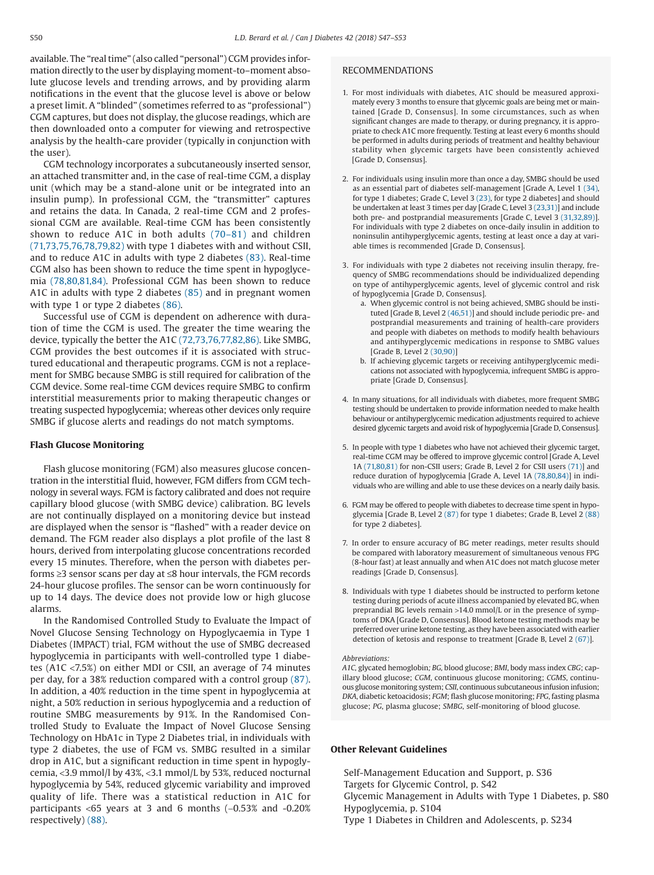available. The "real time" (also called "personal") CGM provides information directly to the user by displaying moment-to–moment absolute glucose levels and trending arrows, and by providing alarm notifications in the event that the glucose level is above or below a preset limit. A "blinded" (sometimes referred to as "professional") CGM captures, but does not display, the glucose readings, which are then downloaded onto a computer for viewing and retrospective analysis by the health-care provider (typically in conjunction with the user).

CGM technology incorporates a subcutaneously inserted sensor, an attached transmitter and, in the case of real-time CGM, a display unit (which may be a stand-alone unit or be integrated into an insulin pump). In professional CGM, the "transmitter" captures and retains the data. In Canada, 2 real-time CGM and 2 professional CGM are available. Real-time CGM has been consistently shown to reduce A1C in both adults (70–81) and children (71,73,75,76,78,79,82) with type 1 diabetes with and without CSII, and to reduce A1C in adults with type 2 diabetes (83). Real-time CGM also has been shown to reduce the time spent in hypoglycemia (78,80,81,84). Professional CGM has been shown to reduce A1C in adults with type 2 diabetes (85) and in pregnant women with type 1 or type 2 diabetes (86).

Successful use of CGM is dependent on adherence with duration of time the CGM is used. The greater the time wearing the device, typically the better the A1C (72,73,76,77,82,86). Like SMBG, CGM provides the best outcomes if it is associated with structured educational and therapeutic programs. CGM is not a replacement for SMBG because SMBG is still required for calibration of the CGM device. Some real-time CGM devices require SMBG to confirm interstitial measurements prior to making therapeutic changes or treating suspected hypoglycemia; whereas other devices only require SMBG if glucose alerts and readings do not match symptoms.

#### **Flash Glucose Monitoring**

Flash glucose monitoring (FGM) also measures glucose concentration in the interstitial fluid, however, FGM differs from CGM technology in several ways. FGM is factory calibrated and does not require capillary blood glucose (with SMBG device) calibration. BG levels are not continually displayed on a monitoring device but instead are displayed when the sensor is "flashed" with a reader device on demand. The FGM reader also displays a plot profile of the last 8 hours, derived from interpolating glucose concentrations recorded every 15 minutes. Therefore, when the person with diabetes performs ≥3 sensor scans per day at ≤8 hour intervals, the FGM records 24-hour glucose profiles. The sensor can be worn continuously for up to 14 days. The device does not provide low or high glucose alarms.

In the Randomised Controlled Study to Evaluate the Impact of Novel Glucose Sensing Technology on Hypoglycaemia in Type 1 Diabetes (IMPACT) trial, FGM without the use of SMBG decreased hypoglycemia in participants with well-controlled type 1 diabetes (A1C <7.5%) on either MDI or CSII, an average of 74 minutes per day, for a 38% reduction compared with a control group (87). In addition, a 40% reduction in the time spent in hypoglycemia at night, a 50% reduction in serious hypoglycemia and a reduction of routine SMBG measurements by 91%. In the Randomised Controlled Study to Evaluate the Impact of Novel Glucose Sensing Technology on HbA1c in Type 2 Diabetes trial, in individuals with type 2 diabetes, the use of FGM vs. SMBG resulted in a similar drop in A1C, but a significant reduction in time spent in hypoglycemia, <3.9 mmol/l by 43%, <3.1 mmol/L by 53%, reduced nocturnal hypoglycemia by 54%, reduced glycemic variability and improved quality of life. There was a statistical reduction in A1C for participants <65 years at 3 and 6 months (−0.53% and -0.20% respectively) (88).

## RECOMMENDATIONS

- 1. For most individuals with diabetes, A1C should be measured approximately every 3 months to ensure that glycemic goals are being met or maintained [Grade D, Consensus]. In some circumstances, such as when significant changes are made to therapy, or during pregnancy, it is appropriate to check A1C more frequently. Testing at least every 6 months should be performed in adults during periods of treatment and healthy behaviour stability when glycemic targets have been consistently achieved [Grade D, Consensus].
- 2. For individuals using insulin more than once a day, SMBG should be used as an essential part of diabetes self-management [Grade A, Level 1 (34), for type 1 diabetes; Grade C, Level 3 (23), for type 2 diabetes] and should be undertaken at least 3 times per day [Grade C, Level 3 (23,31)] and include both pre- and postprandial measurements [Grade C, Level 3 (31,32,89)]. For individuals with type 2 diabetes on once-daily insulin in addition to noninsulin antihyperglycemic agents, testing at least once a day at variable times is recommended [Grade D, Consensus].
- 3. For individuals with type 2 diabetes not receiving insulin therapy, frequency of SMBG recommendations should be individualized depending on type of antihyperglycemic agents, level of glycemic control and risk of hypoglycemia [Grade D, Consensus].
	- a. When glycemic control is not being achieved, SMBG should be instituted [Grade B, Level 2 (46,51)] and should include periodic pre- and postprandial measurements and training of health-care providers and people with diabetes on methods to modify health behaviours and antihyperglycemic medications in response to SMBG values [Grade B, Level 2 (30,90)]
	- b. If achieving glycemic targets or receiving antihyperglycemic medications not associated with hypoglycemia, infrequent SMBG is appropriate [Grade D, Consensus].
- 4. In many situations, for all individuals with diabetes, more frequent SMBG testing should be undertaken to provide information needed to make health behaviour or antihyperglycemic medication adjustments required to achieve desired glycemic targets and avoid risk of hypoglycemia [Grade D, Consensus].
- 5. In people with type 1 diabetes who have not achieved their glycemic target, real-time CGM may be offered to improve glycemic control [Grade A, Level 1A (71,80,81) for non-CSII users; Grade B, Level 2 for CSII users (71)] and reduce duration of hypoglycemia [Grade A, Level 1A (78,80,84)] in individuals who are willing and able to use these devices on a nearly daily basis.
- 6. FGM may be offered to people with diabetes to decrease time spent in hypoglycemia [Grade B, Level 2 (87) for type 1 diabetes; Grade B, Level 2 (88) for type 2 diabetes].
- 7. In order to ensure accuracy of BG meter readings, meter results should be compared with laboratory measurement of simultaneous venous FPG (8-hour fast) at least annually and when A1C does not match glucose meter readings [Grade D, Consensus].
- 8. Individuals with type 1 diabetes should be instructed to perform ketone testing during periods of acute illness accompanied by elevated BG, when preprandial BG levels remain >14.0 mmol/L or in the presence of symptoms of DKA [Grade D, Consensus]. Blood ketone testing methods may be preferred over urine ketone testing, as they have been associated with earlier detection of ketosis and response to treatment [Grade B, Level 2 (67)].

#### *Abbreviations:*

*A1C,* glycated hemoglobin*; BG,* blood glucose; *BMI*, body mass index *CBG*; capillary blood glucose; *CGM*, continuous glucose monitoring; *CGMS*, continuous glucose monitoring system; *CSII*, continuous subcutaneous infusion infusion; *DKA*, diabetic ketoacidosis; *FGM*; flash glucose monitoring; *FPG*, fasting plasma glucose; *PG*, plasma glucose; *SMBG*, self-monitoring of blood glucose.

## **Other Relevant Guidelines**

Self-Management Education and Support, p. S36 Targets for Glycemic Control, p. S42 Glycemic Management in Adults with Type 1 Diabetes, p. S80 Hypoglycemia, p. S104 Type 1 Diabetes in Children and Adolescents, p. S234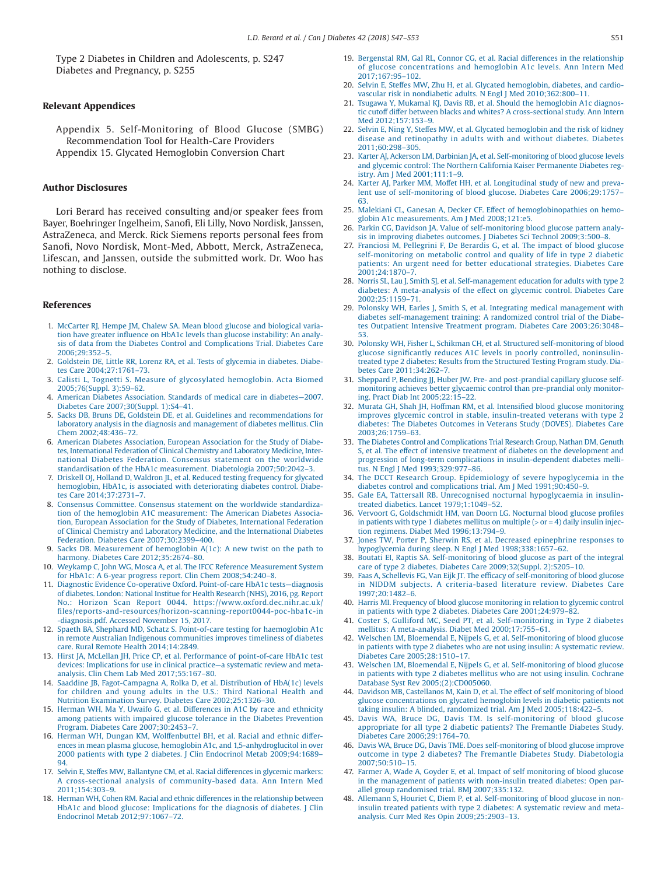Type 2 Diabetes in Children and Adolescents, p. S247 Diabetes and Pregnancy, p. S255

## **Relevant Appendices**

Appendix 5. Self-Monitoring of Blood Glucose (SMBG) Recommendation Tool for Health-Care Providers Appendix 15. Glycated Hemoglobin Conversion Chart

## **Author Disclosures**

Lori Berard has received consulting and/or speaker fees from Bayer, Boehringer Ingelheim, Sanofi, Eli Lilly, Novo Nordisk, Janssen, AstraZeneca, and Merck. Rick Siemens reports personal fees from Sanofi, Novo Nordisk, Mont-Med, Abbott, Merck, AstraZeneca, Lifescan, and Janssen, outside the submitted work. Dr. Woo has nothing to disclose.

#### **References**

- 1. McCarter RJ, Hempe JM, Chalew SA. Mean blood glucose and biological variation have greater influence on HbA1c levels than glucose instability: An analysis of data from the Diabetes Control and Complications Trial. Diabetes Care 2006;29:352–5.
- 2. Goldstein DE, Little RR, Lorenz RA, et al. Tests of glycemia in diabetes. Diabetes Care 2004;27:1761–73.
- 3. Calisti L, Tognetti S. Measure of glycosylated hemoglobin. Acta Biomed 2005;76(Suppl. 3):59–62.
- 4. American Diabetes Association. Standards of medical care in diabetes—2007. Diabetes Care 2007;30(Suppl. 1):S4–41.
- 5. Sacks DB, Bruns DE, Goldstein DE, et al. Guidelines and recommendations for laboratory analysis in the diagnosis and management of diabetes mellitus. Clin Chem 2002;48:436–72.
- 6. American Diabetes Association, European Association for the Study of Diabetes, International Federation of Clinical Chemistry and Laboratory Medicine, International Diabetes Federation. Consensus statement on the worldwide standardisation of the HbA1c measurement. Diabetologia 2007;50:2042–3.
- 7. Driskell OJ, Holland D, Waldron JL, et al. Reduced testing frequency for glycated hemoglobin, HbA1c, is associated with deteriorating diabetes control. Diabetes Care 2014;37:2731–7.
- 8. Consensus Committee. Consensus statement on the worldwide standardization of the hemoglobin A1C measurement: The American Diabetes Association, European Association for the Study of Diabetes, International Federation of Clinical Chemistry and Laboratory Medicine, and the International Diabetes Federation. Diabetes Care 2007;30:2399–400.
- 9. Sacks DB. Measurement of hemoglobin A(1c): A new twist on the path to harmony. Diabetes Care 2012;35:2674–80.
- 10. Weykamp C, John WG, Mosca A, et al. The IFCC Reference Measurement System for HbA1c: A 6-year progress report. Clin Chem 2008;54:240–8.
- 11. Diagnostic Evidence Co-operative Oxford. Point-of-care HbA1c tests—diagnosis of diabetes. London: National Institue for Health Research (NHS), 2016, pg. Report No.: Horizon Scan Report 0044. https://www.oxford.dec.nihr.ac.uk/ files/reports-and-resources/horizon-scanning-report0044-poc-hba1c-in -diagnosis.pdf. Accessed November 15, 2017.
- 12. Spaeth BA, Shephard MD, Schatz S. Point-of-care testing for haemoglobin A1c in remote Australian Indigenous communities improves timeliness of diabetes care. Rural Remote Health 2014;14:2849.
- 13. Hirst JA, McLellan JH, Price CP, et al. Performance of point-of-care HbA1c test devices: Implications for use in clinical practice—a systematic review and metaanalysis. Clin Chem Lab Med 2017;55:167–80.
- 14. Saaddine JB, Fagot-Campagna A, Rolka D, et al. Distribution of HbA(1c) levels for children and young adults in the U.S.: Third National Health and Nutrition Examination Survey. Diabetes Care 2002;25:1326–30.
- 15. Herman WH, Ma Y, Uwaifo G, et al. Differences in A1C by race and ethnicity among patients with impaired glucose tolerance in the Diabetes Prevention Program. Diabetes Care 2007;30:2453–7.
- 16. Herman WH, Dungan KM, Wolffenbuttel BH, et al. Racial and ethnic differences in mean plasma glucose, hemoglobin A1c, and 1,5-anhydroglucitol in over 2000 patients with type 2 diabetes. J Clin Endocrinol Metab 2009;94:1689– 94.
- 17. Selvin E, Steffes MW, Ballantyne CM, et al. Racial differences in glycemic markers: A cross-sectional analysis of community-based data. Ann Intern Med 2011;154:303–9.
- 18. Herman WH, Cohen RM. Racial and ethnic differences in the relationship between HbA1c and blood glucose: Implications for the diagnosis of diabetes. J Clin Endocrinol Metab 2012;97:1067–72.
- 19. Bergenstal RM, Gal RL, Connor CG, et al. Racial differences in the relationship of glucose concentrations and hemoglobin A1c levels. Ann Intern Med 2017;167:95–102.
- 20. Selvin E, Steffes MW, Zhu H, et al. Glycated hemoglobin, diabetes, and cardiovascular risk in nondiabetic adults. N Engl J Med 2010;362:800–11.
- 21. Tsugawa Y, Mukamal KJ, Davis RB, et al. Should the hemoglobin A1c diagnostic cutoff differ between blacks and whites? A cross-sectional study. Ann Intern Med 2012;157:153–9.
- 22. Selvin E, Ning Y, Steffes MW, et al. Glycated hemoglobin and the risk of kidney disease and retinopathy in adults with and without diabetes. Diabetes 2011;60:298–305.
- 23. Karter AJ, Ackerson LM, Darbinian JA, et al. Self-monitoring of blood glucose levels and glycemic control: The Northern California Kaiser Permanente Diabetes registry. Am J Med 2001;111:1–9.
- 24. Karter AJ, Parker MM, Moffet HH, et al. Longitudinal study of new and prevalent use of self-monitoring of blood glucose. Diabetes Care 2006;29:1757– 63.
- 25. Malekiani CL, Ganesan A, Decker CF. Effect of hemoglobinopathies on hemoglobin A1c measurements. Am J Med 2008;121:e5.
- 26. Parkin CG, Davidson JA. Value of self-monitoring blood glucose pattern analysis in improving diabetes outcomes. J Diabetes Sci Technol 2009;3:500–8.
- 27. Franciosi M, Pellegrini F, De Berardis G, et al. The impact of blood glucose self-monitoring on metabolic control and quality of life in type 2 diabetic patients: An urgent need for better educational strategies. Diabetes Care  $2001:24:1870-7$
- 28. Norris SL, Lau J, Smith SJ, et al. Self-management education for adults with type 2 diabetes: A meta-analysis of the effect on glycemic control. Diabetes Care 2002;25:1159–71.
- 29. Polonsky WH, Earles J, Smith S, et al. Integrating medical management with diabetes self-management training: A randomized control trial of the Diabetes Outpatient Intensive Treatment program. Diabetes Care 2003;26:3048– 53.
- 30. Polonsky WH, Fisher L, Schikman CH, et al. Structured self-monitoring of blood glucose significantly reduces A1C levels in poorly controlled, noninsulintreated type 2 diabetes: Results from the Structured Testing Program study. Diabetes Care 2011;34:262–7.
- 31. Sheppard P, Bending JJ, Huber JW. Pre- and post-prandial capillary glucose selfmonitoring achieves better glycaemic control than pre-prandial only monitoring. Pract Diab Int 2005;22:15–22.
- 32. Murata GH, Shah JH, Hoffman RM, et al. Intensified blood glucose monitoring improves glycemic control in stable, insulin-treated veterans with type 2 diabetes: The Diabetes Outcomes in Veterans Study (DOVES). Diabetes Care 2003;26:1759–63.
- 33. The Diabetes Control and Complications Trial Research Group, Nathan DM, Genuth S, et al. The effect of intensive treatment of diabetes on the development and progression of long-term complications in insulin-dependent diabetes mellitus. N Engl J Med 1993;329:977–86.
- 34. The DCCT Research Group. Epidemiology of severe hypoglycemia in the diabetes control and complications trial. Am J Med 1991;90:450–9.
- 35. Gale EA, Tattersall RB. Unrecognised nocturnal hypoglycaemia in insulintreated diabetics. Lancet 1979;1:1049–52.
- 36. Vervoort G, Goldschmidt HM, van Doorn LG. Nocturnal blood glucose profiles in patients with type 1 diabetes mellitus on multiple  $(>$  or  $=$  4) daily insulin injection regimens. Diabet Med 1996;13:794–9.
- 37. Jones TW, Porter P, Sherwin RS, et al. Decreased epinephrine responses to hypoglycemia during sleep. N Engl J Med 1998;338:1657–62.
- 38. Boutati EI, Raptis SA. Self-monitoring of blood glucose as part of the integral care of type 2 diabetes. Diabetes Care 2009;32(Suppl. 2):S205–10.
- 39. Faas A, Schellevis FG, Van Eijk JT. The efficacy of self-monitoring of blood glucose in NIDDM subjects. A criteria-based literature review. Diabetes Care 1997;20:1482–6.
- 40. Harris MI. Frequency of blood glucose monitoring in relation to glycemic control in patients with type 2 diabetes. Diabetes Care 2001;24:979–82.
- 41. Coster S, Gulliford MC, Seed PT, et al. Self-monitoring in Type 2 diabetes mellitus: A meta-analysis. Diabet Med 2000;17:755–61.
- 42. Welschen LM, Bloemendal E, Nijpels G, et al. Self-monitoring of blood glucose in patients with type 2 diabetes who are not using insulin: A systematic review. Diabetes Care 2005;28:1510–17.
- 43. Welschen LM, Bloemendal E, Nijpels G, et al. Self-monitoring of blood glucose in patients with type 2 diabetes mellitus who are not using insulin. Cochrane Database Syst Rev 2005;(2):CD005060.
- 44. Davidson MB, Castellanos M, Kain D, et al. The effect of self monitoring of blood glucose concentrations on glycated hemoglobin levels in diabetic patients not taking insulin: A blinded, randomized trial. Am J Med 2005;118:422–5.
- 45. Davis WA, Bruce DG, Davis TM. Is self-monitoring of blood glucose appropriate for all type 2 diabetic patients? The Fremantle Diabetes Study. Diabetes Care 2006;29:1764–70.
- 46. Davis WA, Bruce DG, Davis TME. Does self-monitoring of blood glucose improve outcome in type 2 diabetes? The Fremantle Diabetes Study. Diabetologia 2007;50:510–15.
- 47. Farmer A, Wade A, Goyder E, et al. Impact of self monitoring of blood glucose in the management of patients with non-insulin treated diabetes: Open parallel group randomised trial. BMJ 2007;335:132.
- Allemann S, Houriet C, Diem P, et al. Self-monitoring of blood glucose in noninsulin treated patients with type 2 diabetes: A systematic review and metaanalysis. Curr Med Res Opin 2009;25:2903–13.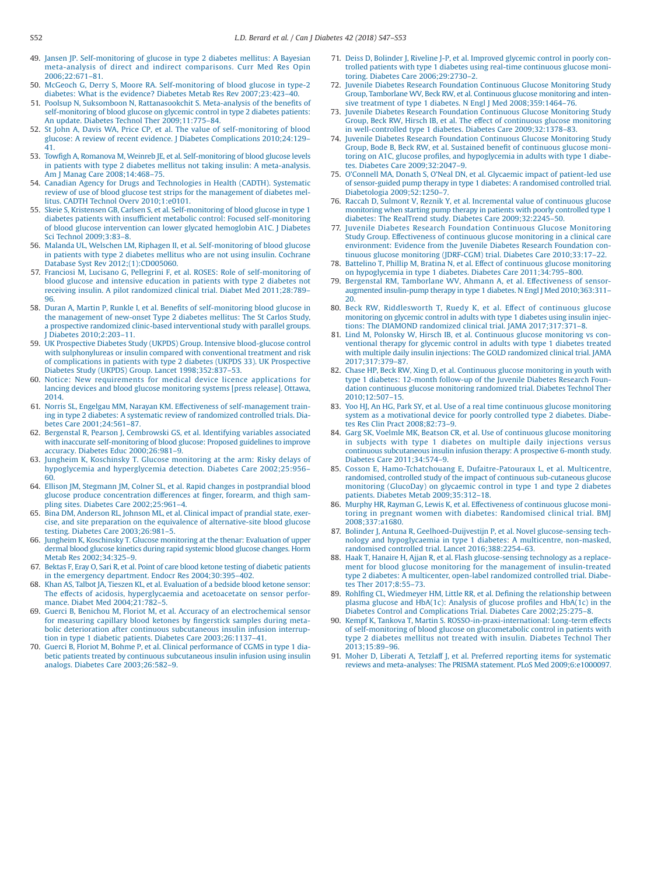- 49. Jansen JP. Self-monitoring of glucose in type 2 diabetes mellitus: A Bayesian meta-analysis of direct and indirect comparisons. Curr Med Res Opin 2006;22:671–81.
- 50. McGeoch G, Derry S, Moore RA. Self-monitoring of blood glucose in type-2 diabetes: What is the evidence? Diabetes Metab Res Rev 2007;23:423–40.
- 51. Poolsup N, Suksomboon N, Rattanasookchit S. Meta-analysis of the benefits of self-monitoring of blood glucose on glycemic control in type 2 diabetes patients: An update. Diabetes Technol Ther 2009;11:775–84.
- 52. St John A, Davis WA, Price CP, et al. The value of self-monitoring of blood glucose: A review of recent evidence. J Diabetes Complications 2010;24:129– 41.
- 53. Towfigh A, Romanova M, Weinreb JE, et al. Self-monitoring of blood glucose levels in patients with type 2 diabetes mellitus not taking insulin: A meta-analysis. Am J Manag Care 2008;14:468–75.
- 54. Canadian Agency for Drugs and Technologies in Health (CADTH). Systematic review of use of blood glucose test strips for the management of diabetes mellitus. CADTH Technol Overv 2010;1:e0101.
- 55. Skeie S, Kristensen GB, Carlsen S, et al. Self-monitoring of blood glucose in type 1 diabetes patients with insufficient metabolic control: Focused self-monitoring of blood glucose intervention can lower glycated hemoglobin A1C. J Diabetes Sci Technol 2009;3:83–8.
- 56. Malanda UL, Welschen LM, Riphagen II, et al. Self-monitoring of blood glucose in patients with type 2 diabetes mellitus who are not using insulin. Cochrane Database Syst Rev 2012;(1):CD005060.
- 57. Franciosi M, Lucisano G, Pellegrini F, et al. ROSES: Role of self-monitoring of blood glucose and intensive education in patients with type 2 diabetes not receiving insulin. A pilot randomized clinical trial. Diabet Med 2011;28:789– 96.
- 58. Duran A, Martin P, Runkle I, et al. Benefits of self-monitoring blood glucose in the management of new-onset Type 2 diabetes mellitus: The St Carlos Study, a prospective randomized clinic-based interventional study with parallel groups. Diabetes 2010;2:203-11.
- 59. UK Prospective Diabetes Study (UKPDS) Group. Intensive blood-glucose control with sulphonylureas or insulin compared with conventional treatment and risk of complications in patients with type 2 diabetes (UKPDS 33). UK Prospective Diabetes Study (UKPDS) Group. Lancet 1998;352:837–53.
- Notice: New requirements for medical device licence applications for lancing devices and blood glucose monitoring systems [press release]. Ottawa, 2014.
- 61. Norris SL, Engelgau MM, Narayan KM. Effectiveness of self-management training in type 2 diabetes: A systematic review of randomized controlled trials. Diabetes Care 2001;24:561–87.
- 62. Bergenstal R, Pearson J, Cembrowski GS, et al. Identifying variables associated with inaccurate self-monitoring of blood glucose: Proposed guidelines to improve accuracy. Diabetes Educ 2000;26:981–9.
- 63. Jungheim K, Koschinsky T. Glucose monitoring at the arm: Risky delays of hypoglycemia and hyperglycemia detection. Diabetes Care 2002;25:956– 60.
- 64. Ellison JM, Stegmann JM, Colner SL, et al. Rapid changes in postprandial blood glucose produce concentration differences at finger, forearm, and thigh sampling sites. Diabetes Care 2002;25:961–4.
- 65. Bina DM, Anderson RL, Johnson ML, et al. Clinical impact of prandial state, exercise, and site preparation on the equivalence of alternative-site blood glucose testing. Diabetes Care 2003;26:981–5.
- 66. Jungheim K, Koschinsky T. Glucose monitoring at the thenar: Evaluation of upper dermal blood glucose kinetics during rapid systemic blood glucose changes. Horm Metab Res 2002;34:325–9.
- 67. Bektas F, Eray O, Sari R, et al. Point of care blood ketone testing of diabetic patients in the emergency department. Endocr Res 2004;30:395–402.
- 68. Khan AS, Talbot JA, Tieszen KL, et al. Evaluation of a bedside blood ketone sensor: The effects of acidosis, hyperglycaemia and acetoacetate on sensor performance. Diabet Med 2004;21:782–5.
- 69. Guerci B, Benichou M, Floriot M, et al. Accuracy of an electrochemical sensor for measuring capillary blood ketones by fingerstick samples during metabolic deterioration after continuous subcutaneous insulin infusion interruption in type 1 diabetic patients. Diabetes Care 2003;26:1137–41.
- 70. Guerci B, Floriot M, Bohme P, et al. Clinical performance of CGMS in type 1 diabetic patients treated by continuous subcutaneous insulin infusion using insulin analogs. Diabetes Care 2003;26:582–9.
- 71. Deiss D, Bolinder J, Riveline J-P, et al. Improved glycemic control in poorly controlled patients with type 1 diabetes using real-time continuous glucose monitoring. Diabetes Care 2006;29:2730–2.
- 72. Juvenile Diabetes Research Foundation Continuous Glucose Monitoring Study Group, Tamborlane WV, Beck RW, et al. Continuous glucose monitoring and intensive treatment of type 1 diabetes. N Engl J Med 2008;359:1464–76.
- 73. Juvenile Diabetes Research Foundation Continuous Glucose Monitoring Study Group, Beck RW, Hirsch IB, et al. The effect of continuous glucose monitoring in well-controlled type 1 diabetes. Diabetes Care 2009;32:1378–83.
- 74. Juvenile Diabetes Research Foundation Continuous Glucose Monitoring Study Group, Bode B, Beck RW, et al. Sustained benefit of continuous glucose monitoring on A1C, glucose profiles, and hypoglycemia in adults with type 1 diabetes. Diabetes Care 2009;32:2047–9.
- 75. O'Connell MA, Donath S, O'Neal DN, et al. Glycaemic impact of patient-led use of sensor-guided pump therapy in type 1 diabetes: A randomised controlled trial. Diabetologia 2009;52:1250–7.
- 76. Raccah D, Sulmont V, Reznik Y, et al. Incremental value of continuous glucose monitoring when starting pump therapy in patients with poorly controlled type 1 diabetes: The RealTrend study. Diabetes Care 2009;32:2245–50.
- 77. Juvenile Diabetes Research Foundation Continuous Glucose Monitoring Study Group. Effectiveness of continuous glucose monitoring in a clinical care environment: Evidence from the Juvenile Diabetes Research Foundation continuous glucose monitoring (JDRF-CGM) trial. Diabetes Care 2010;33:17–22.
- 78. Battelino T, Phillip M, Bratina N, et al. Effect of continuous glucose monitoring on hypoglycemia in type 1 diabetes. Diabetes Care 2011;34:795–800.
- 79. Bergenstal RM, Tamborlane WV, Ahmann A, et al. Effectiveness of sensoraugmented insulin-pump therapy in type 1 diabetes. N Engl J Med 2010;363:311– 20.
- 80. Beck RW, Riddlesworth T, Ruedy K, et al. Effect of continuous glucose monitoring on glycemic control in adults with type 1 diabetes using insulin injections: The DIAMOND randomized clinical trial. JAMA 2017;317:371–8.
- 81. Lind M, Polonsky W, Hirsch IB, et al. Continuous glucose monitoring vs conventional therapy for glycemic control in adults with type 1 diabetes treated with multiple daily insulin injections: The GOLD randomized clinical trial. JAMA 2017;317:379–87.
- 82. Chase HP, Beck RW, Xing D, et al. Continuous glucose monitoring in youth with type 1 diabetes: 12-month follow-up of the Juvenile Diabetes Research Foundation continuous glucose monitoring randomized trial. Diabetes Technol Ther 2010;12:507–15.
- 83. Yoo HJ, An HG, Park SY, et al. Use of a real time continuous glucose monitoring system as a motivational device for poorly controlled type 2 diabetes. Diabetes Res Clin Pract 2008;82:73–9.
- 84. Garg SK, Voelmle MK, Beatson CR, et al. Use of continuous glucose monitoring in subjects with type 1 diabetes on multiple daily injections versus continuous subcutaneous insulin infusion therapy: A prospective 6-month study. Diabetes Care 2011;34:574–9.
- 85. Cosson E, Hamo-Tchatchouang E, Dufaitre-Patouraux L, et al. Multicentre, randomised, controlled study of the impact of continuous sub-cutaneous glucose monitoring (GlucoDay) on glycaemic control in type 1 and type 2 diabetes patients. Diabetes Metab 2009;35:312–18.
- 86. Murphy HR, Rayman G, Lewis K, et al. Effectiveness of continuous glucose monitoring in pregnant women with diabetes: Randomised clinical trial. BMJ 2008;337:a1680.
- 87. Bolinder J, Antuna R, Geelhoed-Duijvestijn P, et al. Novel glucose-sensing technology and hypoglycaemia in type 1 diabetes: A multicentre, non-masked, randomised controlled trial. Lancet 2016;388:2254–63.
- 88. Haak T, Hanaire H, Ajjan R, et al. Flash glucose-sensing technology as a replacement for blood glucose monitoring for the management of insulin-treated type 2 diabetes: A multicenter, open-label randomized controlled trial. Diabetes Ther 2017;8:55–73.
- 89. Rohlfing CL, Wiedmeyer HM, Little RR, et al. Defining the relationship between plasma glucose and HbA(1c): Analysis of glucose profiles and HbA(1c) in the Diabetes Control and Complications Trial. Diabetes Care 2002;25:275–8.
- 90. Kempf K, Tankova T, Martin S. ROSSO-in-praxi-international: Long-term effects of self-monitoring of blood glucose on glucometabolic control in patients with type 2 diabetes mellitus not treated with insulin. Diabetes Technol Ther 2013;15:89–96.
- 91. Moher D, Liberati A, Tetzlaff J, et al. Preferred reporting items for systematic reviews and meta-analyses: The PRISMA statement. PLoS Med 2009;6:e1000097.